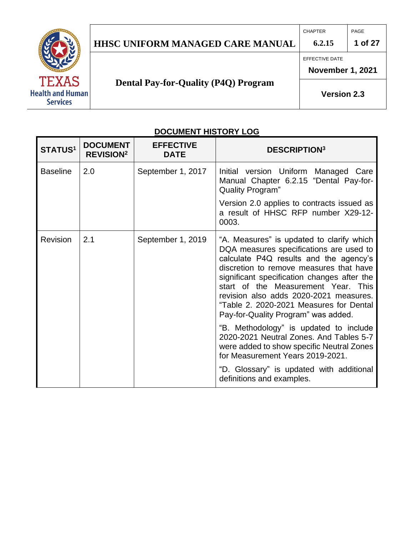## **HHSC UNIFORM MANAGED CARE MANUAL 6.2.15 1 of 27**

CHAPTER PAGE



# **Dental Pay-for-Quality (P4Q) Program**

EFFECTIVE DATE

**November 1, 2021** 

**Version 2.3**

## **DOCUMENT HISTORY LOG**

| STATUS <sup>1</sup> | <b>DOCUMENT</b><br><b>REVISION<sup>2</sup></b> | <b>EFFECTIVE</b><br><b>DATE</b> | <b>DESCRIPTION3</b>                                                                                                                                                                                                                                                                                                                                                                         |
|---------------------|------------------------------------------------|---------------------------------|---------------------------------------------------------------------------------------------------------------------------------------------------------------------------------------------------------------------------------------------------------------------------------------------------------------------------------------------------------------------------------------------|
| <b>Baseline</b>     | 2.0                                            | September 1, 2017               | Initial version Uniform Managed Care<br>Manual Chapter 6.2.15 "Dental Pay-for-<br><b>Quality Program"</b>                                                                                                                                                                                                                                                                                   |
|                     |                                                |                                 | Version 2.0 applies to contracts issued as<br>a result of HHSC RFP number X29-12-<br>0003.                                                                                                                                                                                                                                                                                                  |
| Revision            | 2.1                                            | September 1, 2019               | "A. Measures" is updated to clarify which<br>DQA measures specifications are used to<br>calculate P4Q results and the agency's<br>discretion to remove measures that have<br>significant specification changes after the<br>start of the Measurement Year. This<br>revision also adds 2020-2021 measures.<br>"Table 2. 2020-2021 Measures for Dental<br>Pay-for-Quality Program" was added. |
|                     |                                                |                                 | "B. Methodology" is updated to include<br>2020-2021 Neutral Zones. And Tables 5-7<br>were added to show specific Neutral Zones<br>for Measurement Years 2019-2021.                                                                                                                                                                                                                          |
|                     |                                                |                                 | "D. Glossary" is updated with additional<br>definitions and examples.                                                                                                                                                                                                                                                                                                                       |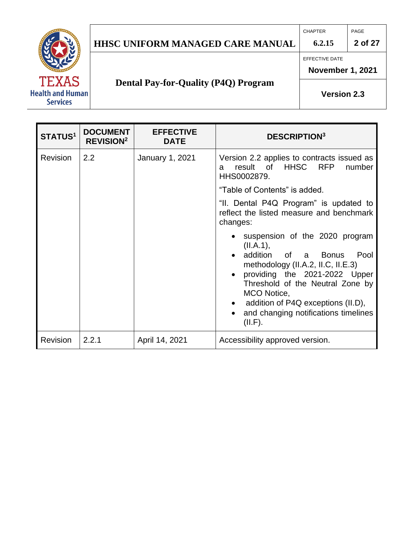# **HHSC UNIFORM MANAGED CARE MANUAL 6.2.15 2 of 27**

CHAPTER PAGE

EFFECTIVE DATE

**November 1, 2021** 

# **Dental Pay-for-Quality (P4Q) Program**

**Version 2.3**

| STATUS <sup>1</sup> | <b>DOCUMENT</b><br><b>REVISION<sup>2</sup></b> | <b>EFFECTIVE</b><br><b>DATE</b> | <b>DESCRIPTION3</b>                                                                                                                                                                                                                                                                              |  |
|---------------------|------------------------------------------------|---------------------------------|--------------------------------------------------------------------------------------------------------------------------------------------------------------------------------------------------------------------------------------------------------------------------------------------------|--|
| <b>Revision</b>     | 2.2                                            | <b>January 1, 2021</b>          | Version 2.2 applies to contracts issued as<br>HHSC<br><b>RFP</b><br>result<br>of<br>number<br>a<br>HHS0002879.<br>"Table of Contents" is added.                                                                                                                                                  |  |
|                     |                                                |                                 | "II. Dental P4Q Program" is updated to<br>reflect the listed measure and benchmark<br>changes:                                                                                                                                                                                                   |  |
|                     |                                                |                                 | suspension of the 2020 program<br>(II.A.1),<br>addition<br>of a Bonus<br>Pool<br>methodology (II.A.2, II.C, II.E.3)<br>providing the 2021-2022 Upper<br>Threshold of the Neutral Zone by<br>MCO Notice,<br>addition of P4Q exceptions (II.D),<br>and changing notifications timelines<br>(II.F). |  |
| Revision            | 2.2.1                                          | April 14, 2021                  | Accessibility approved version.                                                                                                                                                                                                                                                                  |  |

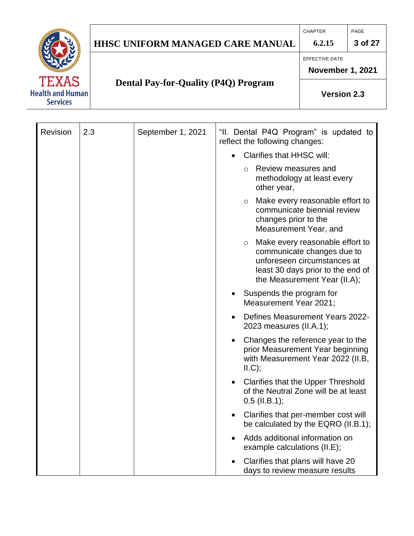# **HHSC UNIFORM MANAGED CARE MANUAL 6.2.15 3 of 27**

CHAPTER PAGE



EFFECTIVE DATE

**November 1, 2021** 

# **Dental Pay-for-Quality (P4Q) Program**

**Version 2.3**

| Revision | 2.3 | September 1, 2021 | "II. Dental P4Q Program" is updated to<br>reflect the following changes:                                                                                                     |
|----------|-----|-------------------|------------------------------------------------------------------------------------------------------------------------------------------------------------------------------|
|          |     |                   | <b>Clarifies that HHSC will:</b>                                                                                                                                             |
|          |     |                   | Review measures and<br>$\circ$<br>methodology at least every<br>other year,                                                                                                  |
|          |     |                   | Make every reasonable effort to<br>$\circ$<br>communicate biennial review<br>changes prior to the<br>Measurement Year, and                                                   |
|          |     |                   | Make every reasonable effort to<br>$\circ$<br>communicate changes due to<br>unforeseen circumstances at<br>least 30 days prior to the end of<br>the Measurement Year (II.A); |
|          |     |                   | Suspends the program for<br>Measurement Year 2021;                                                                                                                           |
|          |     |                   | Defines Measurement Years 2022-<br>2023 measures (II.A.1);                                                                                                                   |
|          |     |                   | Changes the reference year to the<br>$\bullet$<br>prior Measurement Year beginning<br>with Measurement Year 2022 (II.B,<br>ILC);                                             |
|          |     |                   | <b>Clarifies that the Upper Threshold</b><br>$\bullet$<br>of the Neutral Zone will be at least<br>$0.5$ (II.B.1);                                                            |
|          |     |                   | Clarifies that per-member cost will<br>$\bullet$<br>be calculated by the EQRO (II.B.1);                                                                                      |
|          |     |                   | Adds additional information on<br>example calculations (II.E);                                                                                                               |
|          |     |                   | Clarifies that plans will have 20<br>days to review measure results                                                                                                          |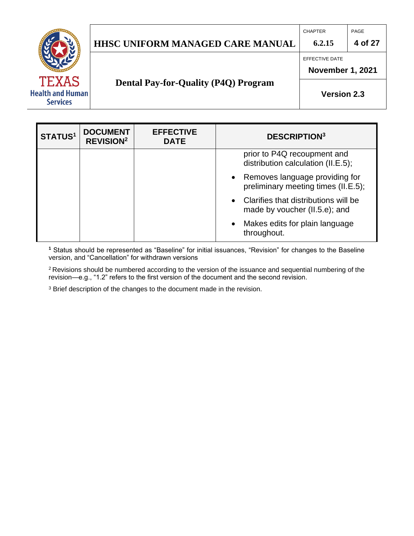## **HHSC UNIFORM MANAGED CARE MANUAL 6.2.15 4 of 27**

EFFECTIVE DATE

**November 1, 2021** 

## **Dental Pay-for-Quality (P4Q) Program**

**Version 2.3**

| <b>STATUS1</b> | <b>DOCUMENT</b><br><b>REVISION<sup>2</sup></b> | <b>EFFECTIVE</b><br><b>DATE</b> |           | <b>DESCRIPTION3</b>                                                   |
|----------------|------------------------------------------------|---------------------------------|-----------|-----------------------------------------------------------------------|
|                |                                                |                                 |           | prior to P4Q recoupment and<br>distribution calculation (II.E.5);     |
|                |                                                |                                 | $\bullet$ | Removes language providing for<br>preliminary meeting times (II.E.5); |
|                |                                                |                                 | $\bullet$ | Clarifies that distributions will be<br>made by voucher (II.5.e); and |
|                |                                                |                                 | $\bullet$ | Makes edits for plain language<br>throughout.                         |

**<sup>1</sup>** Status should be represented as "Baseline" for initial issuances, "Revision" for changes to the Baseline version, and "Cancellation" for withdrawn versions

<sup>2</sup>Revisions should be numbered according to the version of the issuance and sequential numbering of the revision—e.g., "1.2" refers to the first version of the document and the second revision.

<sup>3</sup> Brief description of the changes to the document made in the revision.



CHAPTER PAGE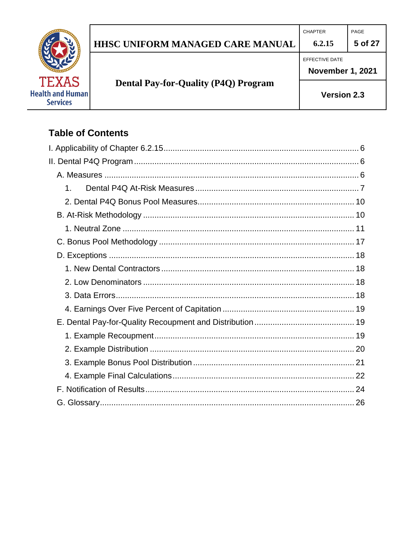# HHSC UNIFORM MANAGED CARE MANUAL

CHAPTER  $6.2.15$ 

EFFECTIVE DATE



# **Dental Pay-for-Quality (P4Q) Program**

**November 1, 2021** 

PAGE

5 of 27

Version 2.3

## **Table of Contents**

| 1. |  |
|----|--|
|    |  |
|    |  |
|    |  |
|    |  |
|    |  |
|    |  |
|    |  |
|    |  |
|    |  |
|    |  |
|    |  |
|    |  |
|    |  |
|    |  |
|    |  |
|    |  |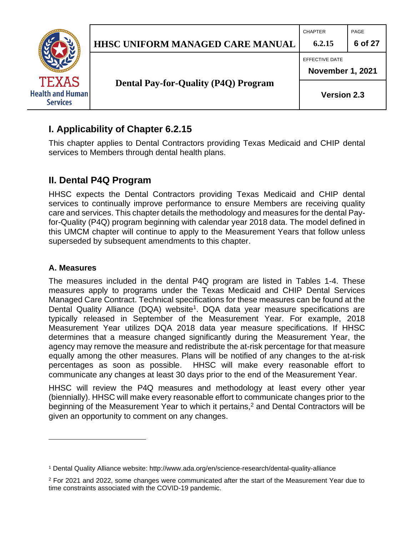

## <span id="page-5-0"></span>**I. Applicability of Chapter 6.2.15**

This chapter applies to Dental Contractors providing Texas Medicaid and CHIP dental services to Members through dental health plans.

## <span id="page-5-1"></span>**II. Dental P4Q Program**

HHSC expects the Dental Contractors providing Texas Medicaid and CHIP dental services to continually improve performance to ensure Members are receiving quality care and services. This chapter details the methodology and measures for the dental Payfor-Quality (P4Q) program beginning with calendar year 2018 data. The model defined in this UMCM chapter will continue to apply to the Measurement Years that follow unless superseded by subsequent amendments to this chapter.

#### <span id="page-5-2"></span>**A. Measures**

The measures included in the dental P4Q program are listed in Tables 1-4. These measures apply to programs under the Texas Medicaid and CHIP Dental Services Managed Care Contract. Technical specifications for these measures can be found at the Dental Quality Alliance (DQA) website<sup>1</sup>. DQA data year measure specifications are typically released in September of the Measurement Year. For example, 2018 Measurement Year utilizes DQA 2018 data year measure specifications. If HHSC determines that a measure changed significantly during the Measurement Year, the agency may remove the measure and redistribute the at-risk percentage for that measure equally among the other measures. Plans will be notified of any changes to the at-risk percentages as soon as possible. HHSC will make every reasonable effort to communicate any changes at least 30 days prior to the end of the Measurement Year.

HHSC will review the P4Q measures and methodology at least every other year (biennially). HHSC will make every reasonable effort to communicate changes prior to the beginning of the Measurement Year to which it pertains,<sup>2</sup> and Dental Contractors will be given an opportunity to comment on any changes.

<sup>1</sup> Dental Quality Alliance website: http://www.ada.org/en/science-research/dental-quality-alliance

<sup>&</sup>lt;sup>2</sup> For 2021 and 2022, some changes were communicated after the start of the Measurement Year due to time constraints associated with the COVID-19 pandemic.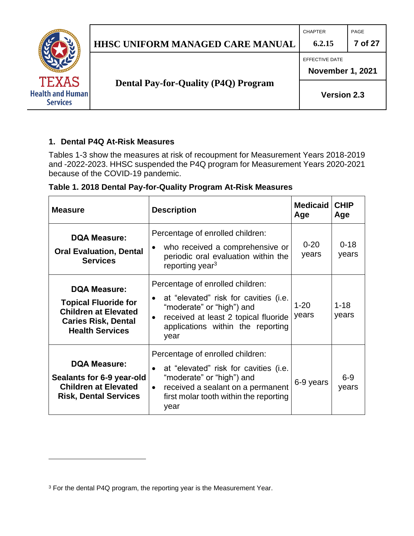|                                            |                                             | <b>CHAPTER</b>          | PAGE    |
|--------------------------------------------|---------------------------------------------|-------------------------|---------|
|                                            | <b>HHSC UNIFORM MANAGED CARE MANUAL</b>     | 6.2.15                  | 7 of 27 |
|                                            |                                             | <b>EFFECTIVE DATE</b>   |         |
| <b>TEXAS</b>                               |                                             | <b>November 1, 2021</b> |         |
| <b>Health and Human</b><br><b>Services</b> | <b>Dental Pay-for-Quality (P4Q) Program</b> | <b>Version 2.3</b>      |         |
|                                            |                                             |                         |         |

#### <span id="page-6-0"></span>**1. Dental P4Q At-Risk Measures**

Tables 1-3 show the measures at risk of recoupment for Measurement Years 2018-2019 and -2022-2023. HHSC suspended the P4Q program for Measurement Years 2020-2021 because of the COVID-19 pandemic.

| <b>Measure</b>                                                                                                                            | <b>Description</b>                                                                                                                                                                                         | <b>Medicaid</b><br>Age | <b>CHIP</b><br>Age |
|-------------------------------------------------------------------------------------------------------------------------------------------|------------------------------------------------------------------------------------------------------------------------------------------------------------------------------------------------------------|------------------------|--------------------|
| <b>DQA Measure:</b><br><b>Oral Evaluation, Dental</b><br><b>Services</b>                                                                  | Percentage of enrolled children:<br>who received a comprehensive or<br>periodic oral evaluation within the<br>reporting year <sup>3</sup>                                                                  | $0 - 20$<br>years      | $0 - 18$<br>years  |
| <b>DQA Measure:</b><br><b>Topical Fluoride for</b><br><b>Children at Elevated</b><br><b>Caries Risk, Dental</b><br><b>Health Services</b> | Percentage of enrolled children:<br>at "elevated" risk for cavities (i.e.<br>"moderate" or "high") and<br>received at least 2 topical fluoride<br>applications within the reporting<br>year                | $1 - 20$<br>years      | $1 - 18$<br>years  |
| <b>DQA Measure:</b><br>Sealants for 6-9 year-old<br><b>Children at Elevated</b><br><b>Risk, Dental Services</b>                           | Percentage of enrolled children:<br>at "elevated" risk for cavities (i.e.<br>"moderate" or "high") and<br>received a sealant on a permanent<br>$\bullet$<br>first molar tooth within the reporting<br>year | 6-9 years              | $6 - 9$<br>years   |

**Table 1. 2018 Dental Pay-for-Quality Program At-Risk Measures**

<sup>&</sup>lt;sup>3</sup> For the dental P4Q program, the reporting year is the Measurement Year.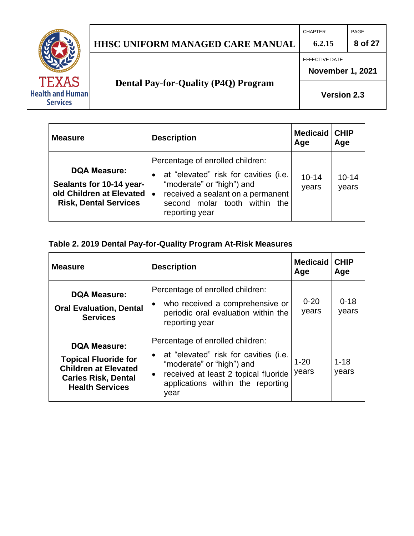## **HHSC UNIFORM MANAGED CARE MANUAL 6.2.15 8 of 27**

CHAPTER PAGE



EFFECTIVE DATE

**November 1, 2021**

# **Dental Pay-for-Quality (P4Q) Program**

**Version 2.3**

| <b>Measure</b>                                                                                                  | <b>Description</b>                                                                                                                                                                                | <b>Medicaid CHIP</b><br>Age | Age                |
|-----------------------------------------------------------------------------------------------------------------|---------------------------------------------------------------------------------------------------------------------------------------------------------------------------------------------------|-----------------------------|--------------------|
| <b>DQA Measure:</b><br>Sealants for 10-14 year-<br>old Children at Elevated   •<br><b>Risk, Dental Services</b> | Percentage of enrolled children:<br>at "elevated" risk for cavities (i.e.<br>"moderate" or "high") and<br>received a sealant on a permanent<br>second molar tooth within<br>the<br>reporting year | $10 - 14$<br>years          | $10 - 14$<br>years |

### **Table 2. 2019 Dental Pay-for-Quality Program At-Risk Measures**

| <b>Measure</b>                                                                                                                            | <b>Description</b>                                                                                                                                                                                                    | <b>Medicaid   CHIP</b><br>Age | Age               |
|-------------------------------------------------------------------------------------------------------------------------------------------|-----------------------------------------------------------------------------------------------------------------------------------------------------------------------------------------------------------------------|-------------------------------|-------------------|
| <b>DQA Measure:</b><br><b>Oral Evaluation, Dental</b><br><b>Services</b>                                                                  | Percentage of enrolled children:<br>who received a comprehensive or<br>periodic oral evaluation within the<br>reporting year                                                                                          | $0 - 20$<br>years             | $0 - 18$<br>years |
| <b>DQA Measure:</b><br><b>Topical Fluoride for</b><br><b>Children at Elevated</b><br><b>Caries Risk, Dental</b><br><b>Health Services</b> | Percentage of enrolled children:<br>at "elevated" risk for cavities (i.e.<br>$\bullet$<br>"moderate" or "high") and<br>received at least 2 topical fluoride<br>$\bullet$<br>applications within the reporting<br>year | $1 - 20$<br>years             | $1 - 18$<br>years |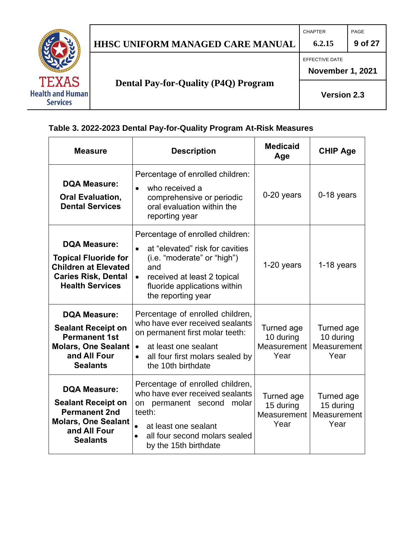# **HHSC UNIFORM MANAGED CARE MANUAL 6.2.15 9 of 27**

CHAPTER PAGE

EFFECTIVE DATE



**Dental Pay-for-Quality (P4Q) Program**

**November 1, 2021**

**Version 2.3**

**Table 3. 2022-2023 Dental Pay-for-Quality Program At-Risk Measures**

| <b>Measure</b>                                                                                                                            | <b>Description</b>                                                                                                                                                                                                     | <b>Medicaid</b><br>Age                         | <b>CHIP Age</b>                                |
|-------------------------------------------------------------------------------------------------------------------------------------------|------------------------------------------------------------------------------------------------------------------------------------------------------------------------------------------------------------------------|------------------------------------------------|------------------------------------------------|
| <b>DQA Measure:</b><br><b>Oral Evaluation,</b><br><b>Dental Services</b>                                                                  | Percentage of enrolled children:<br>who received a<br>$\bullet$<br>comprehensive or periodic<br>oral evaluation within the<br>reporting year                                                                           | $0-20$ years                                   | $0-18$ years                                   |
| <b>DQA Measure:</b><br><b>Topical Fluoride for</b><br><b>Children at Elevated</b><br><b>Caries Risk, Dental</b><br><b>Health Services</b> | Percentage of enrolled children:<br>at "elevated" risk for cavities<br>(i.e. "moderate" or "high")<br>and<br>received at least 2 topical<br>$\bullet$<br>fluoride applications within<br>the reporting year            | 1-20 years                                     | 1-18 years                                     |
| <b>DQA Measure:</b><br><b>Sealant Receipt on</b><br><b>Permanent 1st</b><br>Molars, One Sealant<br>and All Four<br><b>Sealants</b>        | Percentage of enrolled children,<br>who have ever received sealants<br>on permanent first molar teeth:<br>at least one sealant<br>$\bullet$<br>all four first molars sealed by<br>$\bullet$<br>the 10th birthdate      | Turned age<br>10 during<br>Measurement<br>Year | Turned age<br>10 during<br>Measurement<br>Year |
| <b>DQA Measure:</b><br><b>Sealant Receipt on</b><br><b>Permanent 2nd</b><br><b>Molars, One Sealant</b><br>and All Four<br><b>Sealants</b> | Percentage of enrolled children,<br>who have ever received sealants<br>on permanent second molar<br>teeth:<br>at least one sealant<br>$\bullet$<br>all four second molars sealed<br>$\bullet$<br>by the 15th birthdate | Turned age<br>15 during<br>Measurement<br>Year | Turned age<br>15 during<br>Measurement<br>Year |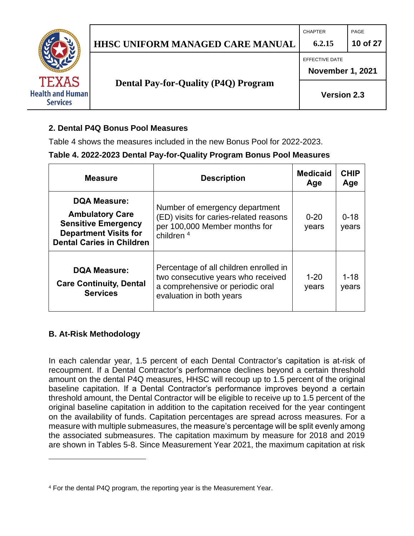|                                                            |                                             | <b>CHAPTER</b>          | PAGE     |
|------------------------------------------------------------|---------------------------------------------|-------------------------|----------|
|                                                            | <b>HHSC UNIFORM MANAGED CARE MANUAL</b>     | 6.2.15                  | 10 of 27 |
|                                                            |                                             | EFFECTIVE DATE          |          |
|                                                            |                                             | <b>November 1, 2021</b> |          |
| <b>TEXAS</b><br><b>Health and Human</b><br><b>Services</b> | <b>Dental Pay-for-Quality (P4Q) Program</b> | <b>Version 2.3</b>      |          |
|                                                            |                                             |                         |          |

#### <span id="page-9-0"></span>**2. Dental P4Q Bonus Pool Measures**

Table 4 shows the measures included in the new Bonus Pool for 2022-2023.

#### **Table 4. 2022-2023 Dental Pay-for-Quality Program Bonus Pool Measures**

| <b>Measure</b>                                                                                                                                  | <b>Description</b>                                                                                                                           | <b>Medicaid</b><br>Age | <b>CHIP</b><br>Age |
|-------------------------------------------------------------------------------------------------------------------------------------------------|----------------------------------------------------------------------------------------------------------------------------------------------|------------------------|--------------------|
| <b>DQA Measure:</b><br><b>Ambulatory Care</b><br><b>Sensitive Emergency</b><br><b>Department Visits for</b><br><b>Dental Caries in Children</b> | Number of emergency department<br>(ED) visits for caries-related reasons<br>per 100,000 Member months for<br>children <sup>4</sup>           | $0 - 20$<br>years      | $0 - 18$<br>years  |
| <b>DQA Measure:</b><br><b>Care Continuity, Dental</b><br><b>Services</b>                                                                        | Percentage of all children enrolled in<br>two consecutive years who received<br>a comprehensive or periodic oral<br>evaluation in both years | $1 - 20$<br>years      | $1 - 18$<br>years  |

#### <span id="page-9-1"></span>**B. At-Risk Methodology**

In each calendar year, 1.5 percent of each Dental Contractor's capitation is at-risk of recoupment. If a Dental Contractor's performance declines beyond a certain threshold amount on the dental P4Q measures, HHSC will recoup up to 1.5 percent of the original baseline capitation. If a Dental Contractor's performance improves beyond a certain threshold amount, the Dental Contractor will be eligible to receive up to 1.5 percent of the original baseline capitation in addition to the capitation received for the year contingent on the availability of funds. Capitation percentages are spread across measures. For a measure with multiple submeasures, the measure's percentage will be split evenly among the associated submeasures. The capitation maximum by measure for 2018 and 2019 are shown in Tables 5-8. Since Measurement Year 2021, the maximum capitation at risk

<sup>4</sup> For the dental P4Q program, the reporting year is the Measurement Year.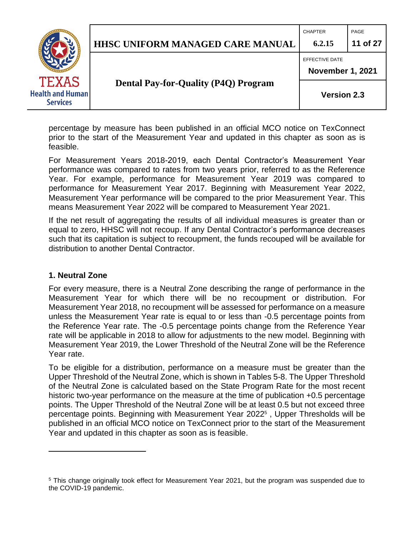## **HHSC UNIFORM MANAGED CARE MANUAL 6.2.15 11 of 27**

CHAPTER **PAGE** 

EFFECTIVE DATE



**Dental Pay-for-Quality (P4Q) Program**

**November 1, 2021**

**Version 2.3**

percentage by measure has been published in an official MCO notice on TexConnect prior to the start of the Measurement Year and updated in this chapter as soon as is feasible.

For Measurement Years 2018-2019, each Dental Contractor's Measurement Year performance was compared to rates from two years prior, referred to as the Reference Year. For example, performance for Measurement Year 2019 was compared to performance for Measurement Year 2017. Beginning with Measurement Year 2022, Measurement Year performance will be compared to the prior Measurement Year. This means Measurement Year 2022 will be compared to Measurement Year 2021.

If the net result of aggregating the results of all individual measures is greater than or equal to zero, HHSC will not recoup. If any Dental Contractor's performance decreases such that its capitation is subject to recoupment, the funds recouped will be available for distribution to another Dental Contractor.

#### <span id="page-10-0"></span>**1. Neutral Zone**

For every measure, there is a Neutral Zone describing the range of performance in the Measurement Year for which there will be no recoupment or distribution. For Measurement Year 2018, no recoupment will be assessed for performance on a measure unless the Measurement Year rate is equal to or less than -0.5 percentage points from the Reference Year rate. The -0.5 percentage points change from the Reference Year rate will be applicable in 2018 to allow for adjustments to the new model. Beginning with Measurement Year 2019, the Lower Threshold of the Neutral Zone will be the Reference Year rate.

To be eligible for a distribution, performance on a measure must be greater than the Upper Threshold of the Neutral Zone, which is shown in Tables 5-8. The Upper Threshold of the Neutral Zone is calculated based on the State Program Rate for the most recent historic two-year performance on the measure at the time of publication  $+0.5$  percentage points. The Upper Threshold of the Neutral Zone will be at least 0.5 but not exceed three percentage points. Beginning with Measurement Year 2022<sup>5</sup> , Upper Thresholds will be published in an official MCO notice on TexConnect prior to the start of the Measurement Year and updated in this chapter as soon as is feasible.

<sup>5</sup> This change originally took effect for Measurement Year 2021, but the program was suspended due to the COVID-19 pandemic.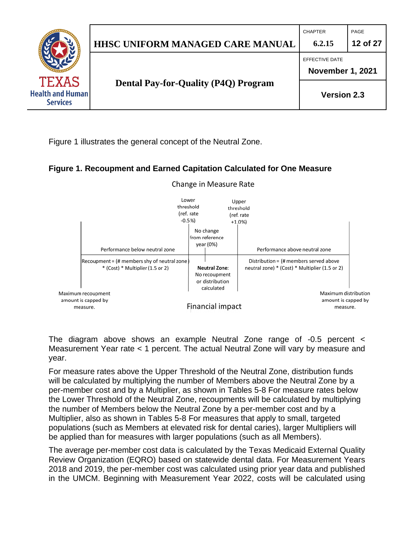

Figure 1 illustrates the general concept of the Neutral Zone.

#### **Figure 1. Recoupment and Earned Capitation Calculated for One Measure**



#### Change in Measure Rate

The diagram above shows an example Neutral Zone range of -0.5 percent < Measurement Year rate < 1 percent. The actual Neutral Zone will vary by measure and year.

For measure rates above the Upper Threshold of the Neutral Zone, distribution funds will be calculated by multiplying the number of Members above the Neutral Zone by a per-member cost and by a Multiplier, as shown in Tables 5-8 For measure rates below the Lower Threshold of the Neutral Zone, recoupments will be calculated by multiplying the number of Members below the Neutral Zone by a per-member cost and by a Multiplier, also as shown in Tables 5-8 For measures that apply to small, targeted populations (such as Members at elevated risk for dental caries), larger Multipliers will be applied than for measures with larger populations (such as all Members).

The average per-member cost data is calculated by the Texas Medicaid External Quality Review Organization (EQRO) based on statewide dental data. For Measurement Years 2018 and 2019, the per-member cost was calculated using prior year data and published in the UMCM. Beginning with Measurement Year 2022, costs will be calculated using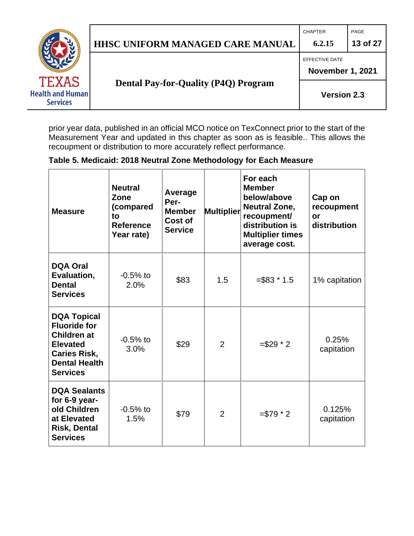# **HHSC UNIFORM MANAGED CARE MANUAL 6.2.15 13 of 27**

CHAPTER PAGE

EFFECTIVE DATE



**Dental Pay-for-Quality (P4Q) Program**

**November 1, 2021**

**Version 2.3**

prior year data, published in an official MCO notice on TexConnect prior to the start of the Measurement Year and updated in this chapter as soon as is feasible.. This allows the recoupment or distribution to more accurately reflect performance.

## **Table 5. Medicaid: 2018 Neutral Zone Methodology for Each Measure**

| <b>Measure</b>                                                                                                                                       | <b>Neutral</b><br>Zone<br>(compared<br>to<br><b>Reference</b><br>Year rate) | Average<br>Per-<br><b>Member</b><br>Cost of<br><b>Service</b> | <b>Multiplier</b> | For each<br><b>Member</b><br>below/above<br><b>Neutral Zone,</b><br>recoupment/<br>distribution is<br><b>Multiplier times</b><br>average cost. | Cap on<br>recoupment<br>or<br>distribution |
|------------------------------------------------------------------------------------------------------------------------------------------------------|-----------------------------------------------------------------------------|---------------------------------------------------------------|-------------------|------------------------------------------------------------------------------------------------------------------------------------------------|--------------------------------------------|
| <b>DQA Oral</b><br>Evaluation,<br><b>Dental</b><br><b>Services</b>                                                                                   | $-0.5%$ to<br>2.0%                                                          | \$83                                                          | 1.5               | $= $83 * 1.5$                                                                                                                                  | 1% capitation                              |
| <b>DQA Topical</b><br><b>Fluoride for</b><br><b>Children at</b><br><b>Elevated</b><br><b>Caries Risk,</b><br><b>Dental Health</b><br><b>Services</b> | $-0.5%$ to<br>3.0%                                                          | \$29                                                          | $\overline{2}$    | $= $29 * 2$                                                                                                                                    | 0.25%<br>capitation                        |
| <b>DQA Sealants</b><br>for 6-9 year-<br>old Children<br>at Elevated<br><b>Risk, Dental</b><br><b>Services</b>                                        | $-0.5%$ to<br>1.5%                                                          | \$79                                                          | 2                 | $= $79 * 2$                                                                                                                                    | 0.125%<br>capitation                       |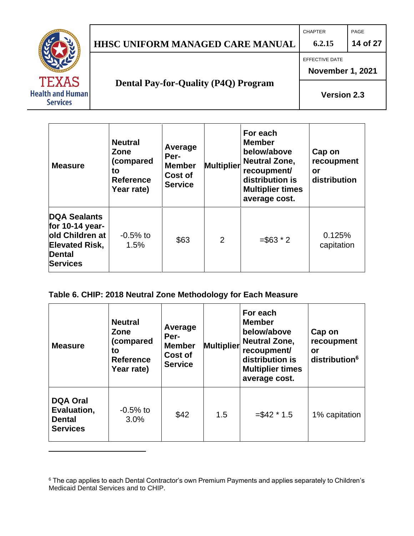### CHAPTER PAGE **HHSC UNIFORM MANAGED CARE MANUAL 6.2.15 14 of 27** EFFECTIVE DATE **November 1, 2021 Dental Pay-for-Quality (P4Q) Program** XAS **Health and Human Version 2.3 Services**  $\overline{\Gamma}$

| <b>Measure</b>                                                                                                     | <b>Neutral</b><br>Zone<br>(compared<br>to<br><b>Reference</b><br>Year rate) | Average<br>Per-<br><b>Member</b><br>Cost of<br><b>Service</b> | <b>Multiplier</b> | For each<br><b>Member</b><br>below/above<br><b>Neutral Zone,</b><br>recoupment/<br>distribution is<br><b>Multiplier times</b><br>average cost. | Cap on<br>recoupment<br>or<br>distribution |
|--------------------------------------------------------------------------------------------------------------------|-----------------------------------------------------------------------------|---------------------------------------------------------------|-------------------|------------------------------------------------------------------------------------------------------------------------------------------------|--------------------------------------------|
| DQA Sealants<br>for $10-14$ year-<br>lold Children at<br><b>Elevated Risk,</b><br><b>Dental</b><br><b>Services</b> | $-0.5%$ to<br>1.5%                                                          | 2<br>\$63                                                     |                   | $= $63 * 2$                                                                                                                                    | 0.125%<br>capitation                       |

#### **Table 6. CHIP: 2018 Neutral Zone Methodology for Each Measure**

| <b>Measure</b>                                                     | <b>Neutral</b><br>Zone<br>(compared<br>to<br><b>Reference</b><br>Year rate) | Average<br>Per-<br><b>Multiplier</b><br><b>Member</b><br>Cost of<br><b>Service</b> |     | For each<br><b>Member</b><br>below/above<br><b>Neutral Zone,</b><br>recoupment/<br>distribution is<br><b>Multiplier times</b><br>average cost. | Cap on<br>recoupment<br>or<br>distribution <sup>6</sup> |
|--------------------------------------------------------------------|-----------------------------------------------------------------------------|------------------------------------------------------------------------------------|-----|------------------------------------------------------------------------------------------------------------------------------------------------|---------------------------------------------------------|
| <b>DQA Oral</b><br>Evaluation,<br><b>Dental</b><br><b>Services</b> | $-0.5%$ to<br>3.0%                                                          | \$42                                                                               | 1.5 | $= $42 * 1.5$                                                                                                                                  | 1% capitation                                           |

<sup>6</sup> The cap applies to each Dental Contractor's own Premium Payments and applies separately to Children's Medicaid Dental Services and to CHIP.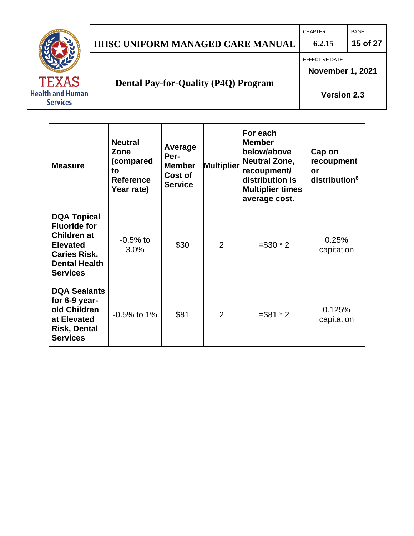# **HHSC UNIFORM MANAGED CARE MANUAL 6.2.15 15 of 27**

CHAPTER PAGE

EFFECTIVE DATE



# **Dental Pay-for-Quality (P4Q) Program**

**November 1, 2021**

**Version 2.3**

| <b>Measure</b>                                                                                                                                       | <b>Neutral</b><br>Zone<br>(compared<br>to<br><b>Reference</b><br>Year rate) | Average<br>Per-<br><b>Member</b><br>Cost of<br><b>Service</b> | <b>Multiplier</b> | For each<br><b>Member</b><br>below/above<br><b>Neutral Zone,</b><br>recoupment/<br>distribution is<br><b>Multiplier times</b><br>average cost. | Cap on<br>recoupment<br>or<br>distribution <sup>6</sup> |
|------------------------------------------------------------------------------------------------------------------------------------------------------|-----------------------------------------------------------------------------|---------------------------------------------------------------|-------------------|------------------------------------------------------------------------------------------------------------------------------------------------|---------------------------------------------------------|
| <b>DQA Topical</b><br><b>Fluoride for</b><br><b>Children at</b><br><b>Elevated</b><br><b>Caries Risk,</b><br><b>Dental Health</b><br><b>Services</b> | $-0.5%$ to<br>3.0%                                                          | \$30                                                          | 2                 | $= $30 * 2$                                                                                                                                    | 0.25%<br>capitation                                     |
| <b>DQA Sealants</b><br>for 6-9 year-<br>old Children<br>at Elevated<br><b>Risk, Dental</b><br><b>Services</b>                                        | $-0.5\%$ to 1%                                                              | \$81                                                          | 2                 | $= $81 * 2$                                                                                                                                    | 0.125%<br>capitation                                    |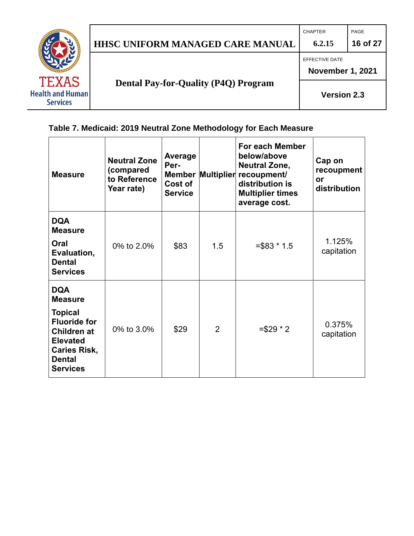

## **Table 7. Medicaid: 2019 Neutral Zone Methodology for Each Measure**

| <b>Measure</b>                                                                                                                                                            | <b>Neutral Zone</b><br>(compared<br>to Reference<br>Year rate) | Average<br>Per-<br>Cost of<br><b>Service</b> | <b>Member Multiplier</b> | For each Member<br>below/above<br><b>Neutral Zone,</b><br>recoupment/<br>distribution is<br><b>Multiplier times</b><br>average cost. | Cap on<br>recoupment<br><b>or</b><br>distribution |
|---------------------------------------------------------------------------------------------------------------------------------------------------------------------------|----------------------------------------------------------------|----------------------------------------------|--------------------------|--------------------------------------------------------------------------------------------------------------------------------------|---------------------------------------------------|
| <b>DQA</b><br><b>Measure</b><br>Oral<br>Evaluation,<br><b>Dental</b><br><b>Services</b>                                                                                   | 0% to 2.0%                                                     | \$83                                         | 1.5                      | $= $83 * 1.5$                                                                                                                        | 1.125%<br>capitation                              |
| <b>DQA</b><br><b>Measure</b><br><b>Topical</b><br><b>Fluoride for</b><br><b>Children at</b><br><b>Elevated</b><br><b>Caries Risk,</b><br><b>Dental</b><br><b>Services</b> | 0% to 3.0%                                                     | \$29                                         | $\overline{2}$           | $= $29 * 2$                                                                                                                          | 0.375%<br>capitation                              |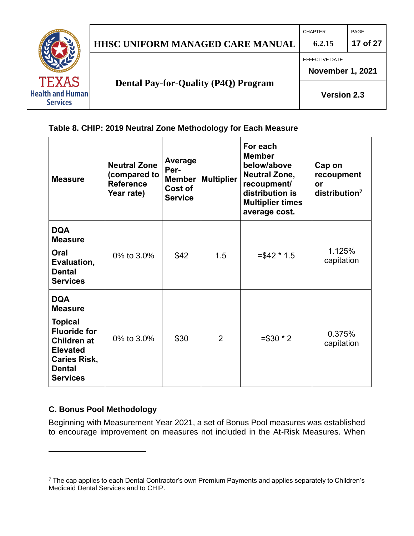

### **Table 8. CHIP: 2019 Neutral Zone Methodology for Each Measure**

| <b>Measure</b>                                                                                                                                                            | <b>Neutral Zone</b><br>(compared to<br><b>Reference</b><br>Year rate) | Average<br>Per-<br><b>Member</b><br>Cost of<br><b>Service</b> | Multiplier     | For each<br><b>Member</b><br>below/above<br><b>Neutral Zone,</b><br>recoupment/<br>distribution is<br><b>Multiplier times</b><br>average cost. | Cap on<br>recoupment<br>or<br>distribution <sup>7</sup> |
|---------------------------------------------------------------------------------------------------------------------------------------------------------------------------|-----------------------------------------------------------------------|---------------------------------------------------------------|----------------|------------------------------------------------------------------------------------------------------------------------------------------------|---------------------------------------------------------|
| <b>DQA</b><br><b>Measure</b><br>Oral<br>Evaluation,<br><b>Dental</b><br><b>Services</b>                                                                                   | 0% to 3.0%                                                            | \$42                                                          | 1.5            | $= $42 * 1.5$                                                                                                                                  | 1.125%<br>capitation                                    |
| <b>DQA</b><br><b>Measure</b><br><b>Topical</b><br><b>Fluoride for</b><br><b>Children at</b><br><b>Elevated</b><br><b>Caries Risk,</b><br><b>Dental</b><br><b>Services</b> | 0% to 3.0%                                                            | \$30                                                          | $\overline{2}$ | $= $30 * 2$                                                                                                                                    | 0.375%<br>capitation                                    |

#### <span id="page-16-0"></span>**C. Bonus Pool Methodology**

Beginning with Measurement Year 2021, a set of Bonus Pool measures was established to encourage improvement on measures not included in the At-Risk Measures. When

<sup>7</sup> The cap applies to each Dental Contractor's own Premium Payments and applies separately to Children's Medicaid Dental Services and to CHIP.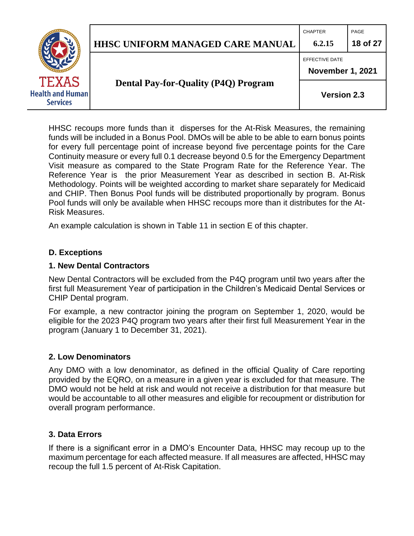|                                                            |                                             | <b>CHAPTER</b>                            | PAGE     |
|------------------------------------------------------------|---------------------------------------------|-------------------------------------------|----------|
|                                                            | <b>HHSC UNIFORM MANAGED CARE MANUAL</b>     | 6.2.15                                    | 18 of 27 |
| <b>TEXAS</b><br><b>Health and Human</b><br><b>Services</b> |                                             | EFFECTIVE DATE<br><b>November 1, 2021</b> |          |
|                                                            | <b>Dental Pay-for-Quality (P4Q) Program</b> | <b>Version 2.3</b>                        |          |

HHSC recoups more funds than it disperses for the At-Risk Measures, the remaining funds will be included in a Bonus Pool. DMOs will be able to be able to earn bonus points for every full percentage point of increase beyond five percentage points for the Care Continuity measure or every full 0.1 decrease beyond 0.5 for the Emergency Department Visit measure as compared to the State Program Rate for the Reference Year. The Reference Year is the prior Measurement Year as described in section B. At-Risk Methodology. Points will be weighted according to market share separately for Medicaid and CHIP. Then Bonus Pool funds will be distributed proportionally by program. Bonus Pool funds will only be available when HHSC recoups more than it distributes for the At-Risk Measures.

An example calculation is shown in Table 11 in section E of this chapter.

#### <span id="page-17-0"></span>**D. Exceptions**

#### <span id="page-17-1"></span>**1. New Dental Contractors**

New Dental Contractors will be excluded from the P4Q program until two years after the first full Measurement Year of participation in the Children's Medicaid Dental Services or CHIP Dental program.

For example, a new contractor joining the program on September 1, 2020, would be eligible for the 2023 P4Q program two years after their first full Measurement Year in the program (January 1 to December 31, 2021).

#### <span id="page-17-2"></span>**2. Low Denominators**

Any DMO with a low denominator, as defined in the official Quality of Care reporting provided by the EQRO, on a measure in a given year is excluded for that measure. The DMO would not be held at risk and would not receive a distribution for that measure but would be accountable to all other measures and eligible for recoupment or distribution for overall program performance.

#### <span id="page-17-3"></span>**3. Data Errors**

If there is a significant error in a DMO's Encounter Data, HHSC may recoup up to the maximum percentage for each affected measure. If all measures are affected, HHSC may recoup the full 1.5 percent of At-Risk Capitation.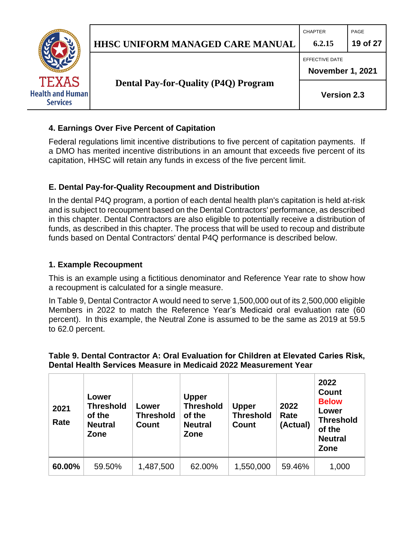

CHAPTER **PAGE** 

EFFECTIVE DATE



**Dental Pay-for-Quality (P4Q) Program**

**November 1, 2021**

**Version 2.3**

### <span id="page-18-0"></span>**4. Earnings Over Five Percent of Capitation**

Federal regulations limit incentive distributions to five percent of capitation payments. If a DMO has merited incentive distributions in an amount that exceeds five percent of its capitation, HHSC will retain any funds in excess of the five percent limit.

### <span id="page-18-1"></span>**E. Dental Pay-for-Quality Recoupment and Distribution**

In the dental P4Q program, a portion of each dental health plan's capitation is held at-risk and is subject to recoupment based on the Dental Contractors' performance, as described in this chapter. Dental Contractors are also eligible to potentially receive a distribution of funds, as described in this chapter. The process that will be used to recoup and distribute funds based on Dental Contractors' dental P4Q performance is described below.

#### <span id="page-18-2"></span>**1. Example Recoupment**

This is an example using a fictitious denominator and Reference Year rate to show how a recoupment is calculated for a single measure.

In Table 9, Dental Contractor A would need to serve 1,500,000 out of its 2,500,000 eligible Members in 2022 to match the Reference Year's Medicaid oral evaluation rate (60 percent). In this example, the Neutral Zone is assumed to be the same as 2019 at 59.5 to 62.0 percent.

**Table 9. Dental Contractor A: Oral Evaluation for Children at Elevated Caries Risk, Dental Health Services Measure in Medicaid 2022 Measurement Year**

| 2021<br>Rate | Lower<br><b>Threshold</b><br>of the<br><b>Neutral</b><br>Zone | Lower<br><b>Threshold</b><br>Count | <b>Upper</b><br><b>Threshold</b><br>of the<br><b>Neutral</b><br>Zone | <b>Upper</b><br><b>Threshold</b><br><b>Count</b> | 2022<br>Rate<br>(Actual) | 2022<br><b>Count</b><br><b>Below</b><br>Lower<br><b>Threshold</b><br>of the<br><b>Neutral</b><br>Zone |
|--------------|---------------------------------------------------------------|------------------------------------|----------------------------------------------------------------------|--------------------------------------------------|--------------------------|-------------------------------------------------------------------------------------------------------|
| 60.00%       | 59.50%                                                        | 1,487,500                          | 62.00%                                                               | 1,550,000                                        | 59.46%                   | 1,000                                                                                                 |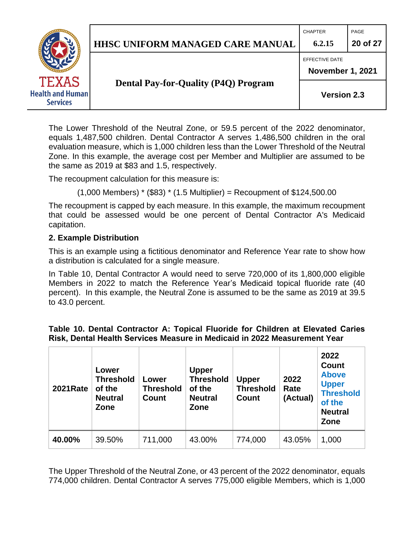

CHAPTER PAGE

EFFECTIVE DATE



**Dental Pay-for-Quality (P4Q) Program**

**November 1, 2021**

**Version 2.3**

The Lower Threshold of the Neutral Zone, or 59.5 percent of the 2022 denominator, equals 1,487,500 children. Dental Contractor A serves 1,486,500 children in the oral evaluation measure, which is 1,000 children less than the Lower Threshold of the Neutral Zone. In this example, the average cost per Member and Multiplier are assumed to be the same as 2019 at \$83 and 1.5, respectively.

The recoupment calculation for this measure is:

 $(1,000 \text{ Members})$  \*  $(\$83)$  \*  $(1.5 \text{ Multiplier})$  = Recoupment of \$124,500.00

The recoupment is capped by each measure. In this example, the maximum recoupment that could be assessed would be one percent of Dental Contractor A's Medicaid capitation.

### <span id="page-19-0"></span>**2. Example Distribution**

This is an example using a fictitious denominator and Reference Year rate to show how a distribution is calculated for a single measure.

In Table 10, Dental Contractor A would need to serve 720,000 of its 1,800,000 eligible Members in 2022 to match the Reference Year's Medicaid topical fluoride rate (40 percent). In this example, the Neutral Zone is assumed to be the same as 2019 at 39.5 to 43.0 percent.

|  | Table 10. Dental Contractor A: Topical Fluoride for Children at Elevated Caries |  |  |  |  |
|--|---------------------------------------------------------------------------------|--|--|--|--|
|  | Risk, Dental Health Services Measure in Medicaid in 2022 Measurement Year       |  |  |  |  |

| <b>2021Rate</b> | Lower<br><b>Threshold</b><br>of the<br><b>Neutral</b><br>Zone | Lower<br><b>Threshold</b><br>Count | <b>Upper</b><br><b>Threshold</b><br>of the<br><b>Neutral</b><br>Zone | <b>Upper</b><br><b>Threshold</b><br><b>Count</b> | 2022<br>Rate<br>(Actual) | 2022<br><b>Count</b><br><b>Above</b><br><b>Upper</b><br><b>Threshold</b><br>of the<br><b>Neutral</b><br>Zone |
|-----------------|---------------------------------------------------------------|------------------------------------|----------------------------------------------------------------------|--------------------------------------------------|--------------------------|--------------------------------------------------------------------------------------------------------------|
| 40.00%          | 39.50%                                                        | 711,000                            | 43.00%                                                               | 774,000                                          | 43.05%                   | 1,000                                                                                                        |

The Upper Threshold of the Neutral Zone, or 43 percent of the 2022 denominator, equals 774,000 children. Dental Contractor A serves 775,000 eligible Members, which is 1,000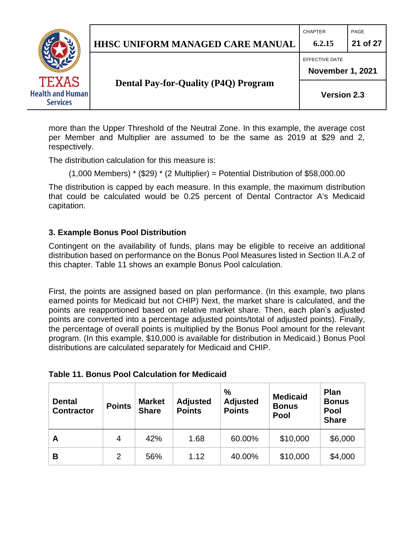## **HHSC UNIFORM MANAGED CARE MANUAL 6.2.15 21 of 27**

CHAPTER **PAGE** 

EFFECTIVE DATE



respectively.

### **Dental Pay-for-Quality (P4Q) Program**

**Version 2.3**

**November 1, 2021**

more than the Upper Threshold of the Neutral Zone. In this example, the average cost per Member and Multiplier are assumed to be the same as 2019 at \$29 and 2,

The distribution calculation for this measure is:

 $(1,000$  Members)  $*$  (\$29)  $*$  (2 Multiplier) = Potential Distribution of \$58,000.00

The distribution is capped by each measure. In this example, the maximum distribution that could be calculated would be 0.25 percent of Dental Contractor A's Medicaid capitation.

### <span id="page-20-0"></span>**3. Example Bonus Pool Distribution**

Contingent on the availability of funds, plans may be eligible to receive an additional distribution based on performance on the Bonus Pool Measures listed in Section II.A.2 of this chapter. Table 11 shows an example Bonus Pool calculation.

First, the points are assigned based on plan performance. (In this example, two plans earned points for Medicaid but not CHIP) Next, the market share is calculated, and the points are reapportioned based on relative market share. Then, each plan's adjusted points are converted into a percentage adjusted points/total of adjusted points). Finally, the percentage of overall points is multiplied by the Bonus Pool amount for the relevant program. (In this example, \$10,000 is available for distribution in Medicaid.) Bonus Pool distributions are calculated separately for Medicaid and CHIP.

| <b>Table 11. Bonus Pool Calculation for Medicaid</b> |
|------------------------------------------------------|
|------------------------------------------------------|

| <b>Dental</b><br><b>Contractor</b> | <b>Points</b> | <b>Market</b><br><b>Share</b> | <b>Adjusted</b><br><b>Points</b> | $\%$<br><b>Adjusted</b><br><b>Points</b> | <b>Medicaid</b><br><b>Bonus</b><br>Pool | <b>Plan</b><br><b>Bonus</b><br>Pool<br><b>Share</b> |
|------------------------------------|---------------|-------------------------------|----------------------------------|------------------------------------------|-----------------------------------------|-----------------------------------------------------|
| A                                  | 4             | 42%                           | 1.68                             | 60.00%                                   | \$10,000                                | \$6,000                                             |
| В                                  | 2             | 56%                           | 1.12                             | 40.00%                                   | \$10,000                                | \$4,000                                             |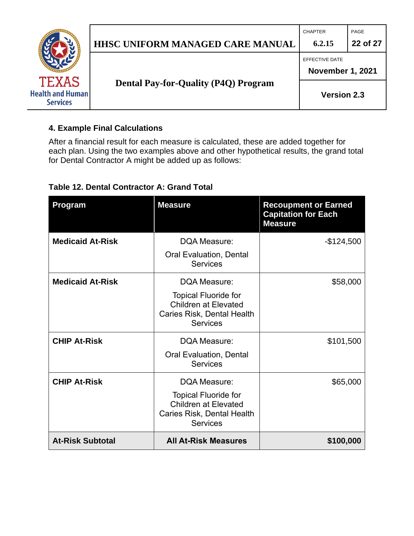

#### <span id="page-21-0"></span>**4. Example Final Calculations**

After a financial result for each measure is calculated, these are added together for each plan. Using the two examples above and other hypothetical results, the grand total for Dental Contractor A might be added up as follows:

### **Table 12. Dental Contractor A: Grand Total**

| Program                 | <b>Measure</b>                                                                                              | <b>Recoupment or Earned</b><br><b>Capitation for Each</b><br><b>Measure</b> |
|-------------------------|-------------------------------------------------------------------------------------------------------------|-----------------------------------------------------------------------------|
| <b>Medicaid At-Risk</b> | DQA Measure:                                                                                                | $-$124,500$                                                                 |
|                         | <b>Oral Evaluation, Dental</b><br><b>Services</b>                                                           |                                                                             |
| <b>Medicaid At-Risk</b> | DQA Measure:                                                                                                | \$58,000                                                                    |
|                         | <b>Topical Fluoride for</b><br><b>Children at Elevated</b><br>Caries Risk, Dental Health<br><b>Services</b> |                                                                             |
| <b>CHIP At-Risk</b>     | DQA Measure:                                                                                                | \$101,500                                                                   |
|                         | <b>Oral Evaluation, Dental</b><br><b>Services</b>                                                           |                                                                             |
| <b>CHIP At-Risk</b>     | DQA Measure:                                                                                                | \$65,000                                                                    |
|                         | <b>Topical Fluoride for</b><br><b>Children at Elevated</b><br>Caries Risk, Dental Health<br><b>Services</b> |                                                                             |
| <b>At-Risk Subtotal</b> | <b>All At-Risk Measures</b>                                                                                 | \$100,000                                                                   |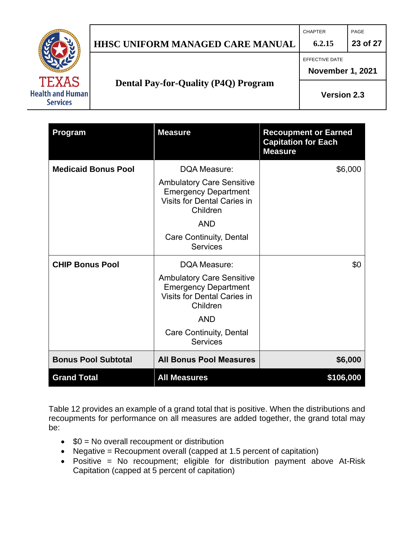

## **HHSC UNIFORM MANAGED CARE MANUAL 6.2.15 23 of 27**

CHAPTER PAGE

EFFECTIVE DATE

**November 1, 2021**

**Dental Pay-for-Quality (P4Q) Program**

**Version 2.3**

| <b>Program</b>             | <b>Measure</b>                                                                                                    | <b>Recoupment or Earned</b><br><b>Capitation for Each</b><br><b>Measure</b> |
|----------------------------|-------------------------------------------------------------------------------------------------------------------|-----------------------------------------------------------------------------|
| <b>Medicaid Bonus Pool</b> | DQA Measure:                                                                                                      | \$6,000                                                                     |
|                            | <b>Ambulatory Care Sensitive</b><br><b>Emergency Department</b><br><b>Visits for Dental Caries in</b><br>Children |                                                                             |
|                            | <b>AND</b>                                                                                                        |                                                                             |
|                            | Care Continuity, Dental<br><b>Services</b>                                                                        |                                                                             |
| <b>CHIP Bonus Pool</b>     | DQA Measure:                                                                                                      | \$0                                                                         |
|                            | <b>Ambulatory Care Sensitive</b><br><b>Emergency Department</b><br><b>Visits for Dental Caries in</b><br>Children |                                                                             |
|                            | <b>AND</b>                                                                                                        |                                                                             |
|                            | <b>Care Continuity, Dental</b><br><b>Services</b>                                                                 |                                                                             |
| <b>Bonus Pool Subtotal</b> | <b>All Bonus Pool Measures</b>                                                                                    | \$6,000                                                                     |
| <b>Grand Total</b>         | <b>All Measures</b>                                                                                               | \$106,000                                                                   |

Table 12 provides an example of a grand total that is positive. When the distributions and recoupments for performance on all measures are added together, the grand total may be:

- $$0 = No$  overall recoupment or distribution
- Negative = Recoupment overall (capped at 1.5 percent of capitation)
- Positive = No recoupment; eligible for distribution payment above At-Risk Capitation (capped at 5 percent of capitation)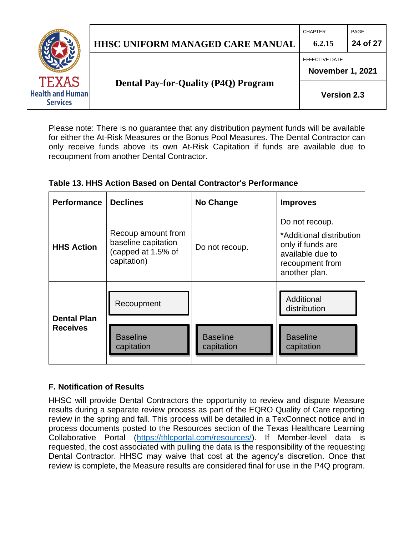

CHAPTER **PAGE** 

EFFECTIVE DATE

**Health and Human Services** 

**Dental Pay-for-Quality (P4Q) Program**

**November 1, 2021**

**Version 2.3**

Please note: There is no guarantee that any distribution payment funds will be available for either the At-Risk Measures or the Bonus Pool Measures. The Dental Contractor can only receive funds above its own At-Risk Capitation if funds are available due to recoupment from another Dental Contractor.

### **Table 13. HHS Action Based on Dental Contractor's Performance**

| <b>Performance</b> | <b>Declines</b>                                                                | No Change                     | <b>Improves</b>                                                                                                         |
|--------------------|--------------------------------------------------------------------------------|-------------------------------|-------------------------------------------------------------------------------------------------------------------------|
| <b>HHS Action</b>  | Recoup amount from<br>baseline capitation<br>(capped at 1.5% of<br>capitation) | Do not recoup.                | Do not recoup.<br>*Additional distribution<br>only if funds are<br>available due to<br>recoupment from<br>another plan. |
| <b>Dental Plan</b> | Recoupment                                                                     |                               | Additional<br>distribution                                                                                              |
| <b>Receives</b>    | <b>Baseline</b><br>capitation                                                  | <b>Baseline</b><br>capitation | <b>Baseline</b><br>capitation                                                                                           |

### <span id="page-23-0"></span>**F. Notification of Results**

HHSC will provide Dental Contractors the opportunity to review and dispute Measure results during a separate review process as part of the EQRO Quality of Care reporting review in the spring and fall. This process will be detailed in a TexConnect notice and in process documents posted to the Resources section of the Texas Healthcare Learning Collaborative Portal [\(https://thlcportal.com/resources/\)](https://thlcportal.com/resources/). If Member-level data is requested, the cost associated with pulling the data is the responsibility of the requesting Dental Contractor. HHSC may waive that cost at the agency's discretion. Once that review is complete, the Measure results are considered final for use in the P4Q program.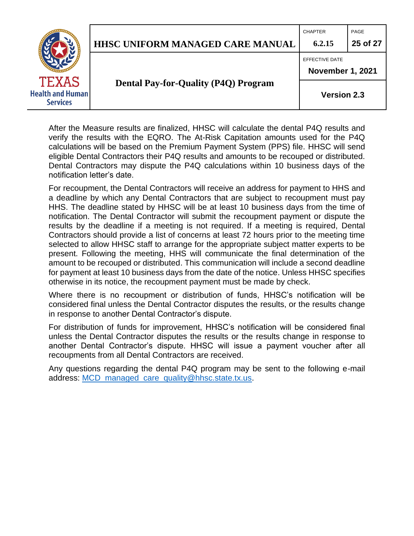

CHAPTER PAGE



**Dental Pay-for-Quality (P4Q) Program**

EFFECTIVE DATE **November 1, 2021**

**Version 2.3**

After the Measure results are finalized, HHSC will calculate the dental P4Q results and verify the results with the EQRO. The At-Risk Capitation amounts used for the P4Q calculations will be based on the Premium Payment System (PPS) file. HHSC will send eligible Dental Contractors their P4Q results and amounts to be recouped or distributed. Dental Contractors may dispute the P4Q calculations within 10 business days of the notification letter's date.

For recoupment, the Dental Contractors will receive an address for payment to HHS and a deadline by which any Dental Contractors that are subject to recoupment must pay HHS. The deadline stated by HHSC will be at least 10 business days from the time of notification. The Dental Contractor will submit the recoupment payment or dispute the results by the deadline if a meeting is not required. If a meeting is required, Dental Contractors should provide a list of concerns at least 72 hours prior to the meeting time selected to allow HHSC staff to arrange for the appropriate subject matter experts to be present. Following the meeting, HHS will communicate the final determination of the amount to be recouped or distributed. This communication will include a second deadline for payment at least 10 business days from the date of the notice. Unless HHSC specifies otherwise in its notice, the recoupment payment must be made by check.

Where there is no recoupment or distribution of funds, HHSC's notification will be considered final unless the Dental Contractor disputes the results, or the results change in response to another Dental Contractor's dispute.

For distribution of funds for improvement, HHSC's notification will be considered final unless the Dental Contractor disputes the results or the results change in response to another Dental Contractor's dispute. HHSC will issue a payment voucher after all recoupments from all Dental Contractors are received.

Any questions regarding the dental P4Q program may be sent to the following e-mail address: [MCD\\_managed\\_care\\_quality@hhsc.state.tx.us.](mailto:MCD_managed_care_quality@hhsc.state.tx.us)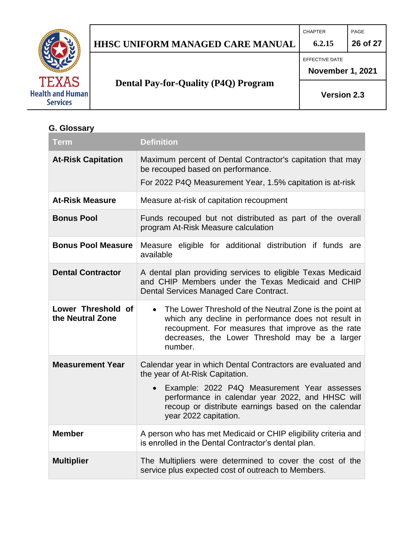

## **HHSC UNIFORM MANAGED CARE MANUAL 6.2.15 26 of 27**

**Dental Pay-for-Quality (P4Q) Program**

CHAPTER PAGE

EFFECTIVE DATE

**November 1, 2021**

**Version 2.3**

## <span id="page-25-0"></span>**G. Glossary**

| <b>Term</b>                            | <b>Definition</b>                                                                                                                                                                                                                |
|----------------------------------------|----------------------------------------------------------------------------------------------------------------------------------------------------------------------------------------------------------------------------------|
| <b>At-Risk Capitation</b>              | Maximum percent of Dental Contractor's capitation that may<br>be recouped based on performance.                                                                                                                                  |
|                                        | For 2022 P4Q Measurement Year, 1.5% capitation is at-risk                                                                                                                                                                        |
| <b>At-Risk Measure</b>                 | Measure at-risk of capitation recoupment                                                                                                                                                                                         |
| <b>Bonus Pool</b>                      | Funds recouped but not distributed as part of the overall<br>program At-Risk Measure calculation                                                                                                                                 |
| <b>Bonus Pool Measure</b>              | Measure eligible for additional distribution if funds are<br>available                                                                                                                                                           |
| <b>Dental Contractor</b>               | A dental plan providing services to eligible Texas Medicaid<br>and CHIP Members under the Texas Medicaid and CHIP<br>Dental Services Managed Care Contract.                                                                      |
| Lower Threshold of<br>the Neutral Zone | The Lower Threshold of the Neutral Zone is the point at<br>which any decline in performance does not result in<br>recoupment. For measures that improve as the rate<br>decreases, the Lower Threshold may be a larger<br>number. |
| <b>Measurement Year</b>                | Calendar year in which Dental Contractors are evaluated and<br>the year of At-Risk Capitation.                                                                                                                                   |
|                                        | Example: 2022 P4Q Measurement Year assesses<br>performance in calendar year 2022, and HHSC will<br>recoup or distribute earnings based on the calendar<br>year 2022 capitation.                                                  |
| <b>Member</b>                          | A person who has met Medicaid or CHIP eligibility criteria and<br>is enrolled in the Dental Contractor's dental plan.                                                                                                            |
| <b>Multiplier</b>                      | The Multipliers were determined to cover the cost of the<br>service plus expected cost of outreach to Members.                                                                                                                   |